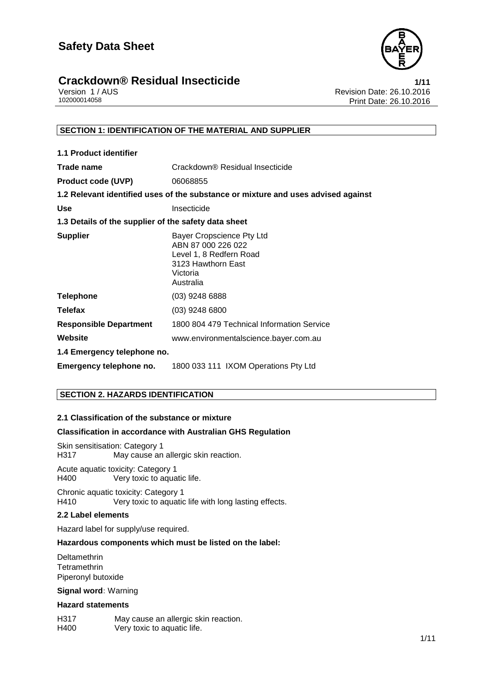



Version 1 / AUS<br>102000014058<br>Print Date: 26.10.2016 Print Date: 26.10.2016

#### **SECTION 1: IDENTIFICATION OF THE MATERIAL AND SUPPLIER**

| <b>1.1 Product identifier</b>                        |                                                                                                                           |
|------------------------------------------------------|---------------------------------------------------------------------------------------------------------------------------|
| Trade name                                           | Crackdown® Residual Insecticide                                                                                           |
| <b>Product code (UVP)</b>                            | 06068855                                                                                                                  |
|                                                      | 1.2 Relevant identified uses of the substance or mixture and uses advised against                                         |
| <b>Use</b>                                           | Insecticide                                                                                                               |
| 1.3 Details of the supplier of the safety data sheet |                                                                                                                           |
| <b>Supplier</b>                                      | Bayer Cropscience Pty Ltd<br>ABN 87 000 226 022<br>Level 1, 8 Redfern Road<br>3123 Hawthorn East<br>Victoria<br>Australia |
| <b>Telephone</b>                                     | $(03)$ 9248 6888                                                                                                          |
| <b>Telefax</b>                                       | $(03)$ 9248 6800                                                                                                          |
| <b>Responsible Department</b>                        | 1800 804 479 Technical Information Service                                                                                |
| Website                                              | www.environmentalscience.bayer.com.au                                                                                     |
| 1.4 Emergency telephone no.                          |                                                                                                                           |
| Emergency telephone no.                              | 1800 033 111 IXOM Operations Pty Ltd                                                                                      |

#### **SECTION 2. HAZARDS IDENTIFICATION**

#### **2.1 Classification of the substance or mixture**

#### **Classification in accordance with Australian GHS Regulation**

Skin sensitisation: Category 1<br>H317 May cause an May cause an allergic skin reaction.

Acute aquatic toxicity: Category 1 H400 Very toxic to aquatic life.

Chronic aquatic toxicity: Category 1 H410 Very toxic to aquatic life with long lasting effects.

#### **2.2 Label elements**

Hazard label for supply/use required.

#### **Hazardous components which must be listed on the label:**

 Deltamethrin **Tetramethrin** Piperonyl butoxide

**Signal word:** Warning

#### **Hazard statements**

H317 May cause an allergic skin reaction. H400 Very toxic to aquatic life.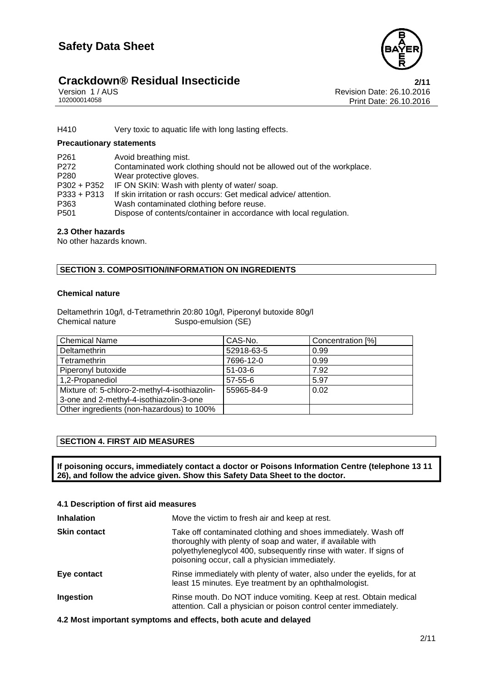

### **Crackdown® Residual Insecticide**<br>1/11 Version 1/AUS **Proporting the Case of August** Revision Date: 26.10.2016

Version 1 / AUS<br>102000014058<br>Print Date: 26.10.2016 Print Date: 26.10.2016

H410 Very toxic to aquatic life with long lasting effects.

#### **Precautionary statements**

| P <sub>261</sub> | Avoid breathing mist.                                                  |
|------------------|------------------------------------------------------------------------|
| P <sub>272</sub> | Contaminated work clothing should not be allowed out of the workplace. |
| P <sub>280</sub> | Wear protective gloves.                                                |
|                  | P302 + P352 IF ON SKIN: Wash with plenty of water/soap.                |
| $P333 + P313$    | If skin irritation or rash occurs: Get medical advice/attention.       |
| P363             | Wash contaminated clothing before reuse.                               |
| P <sub>501</sub> | Dispose of contents/container in accordance with local regulation.     |

#### **2.3 Other hazards**

No other hazards known.

#### **SECTION 3. COMPOSITION/INFORMATION ON INGREDIENTS**

#### **Chemical nature**

Deltamethrin 10g/l, d-Tetramethrin 20:80 10g/l, Piperonyl butoxide 80g/l Chemical nature Suspo-emulsion (SE)

| <b>Chemical Name</b>                          | CAS-No.       | Concentration [%] |
|-----------------------------------------------|---------------|-------------------|
| Deltamethrin                                  | 52918-63-5    | 0.99              |
| Tetramethrin                                  | 7696-12-0     | 0.99              |
| Piperonyl butoxide                            | $51-03-6$     | 7.92              |
| 1,2-Propanediol                               | $57 - 55 - 6$ | 5.97              |
| Mixture of: 5-chloro-2-methyl-4-isothiazolin- | 55965-84-9    | 0.02              |
| 3-one and 2-methyl-4-isothiazolin-3-one       |               |                   |
| Other ingredients (non-hazardous) to 100%     |               |                   |

#### **SECTION 4. FIRST AID MEASURES**

**If poisoning occurs, immediately contact a doctor or Poisons Information Centre (telephone 13 11 26), and follow the advice given. Show this Safety Data Sheet to the doctor.**

| 4.1 Description of first aid measures |                                                                                                                                                                                                                                                       |  |
|---------------------------------------|-------------------------------------------------------------------------------------------------------------------------------------------------------------------------------------------------------------------------------------------------------|--|
| <b>Inhalation</b>                     | Move the victim to fresh air and keep at rest.                                                                                                                                                                                                        |  |
| <b>Skin contact</b>                   | Take off contaminated clothing and shoes immediately. Wash off<br>thoroughly with plenty of soap and water, if available with<br>polyethyleneglycol 400, subsequently rinse with water. If signs of<br>poisoning occur, call a physician immediately. |  |
| Eye contact                           | Rinse immediately with plenty of water, also under the eyelids, for at<br>least 15 minutes. Eye treatment by an ophthalmologist.                                                                                                                      |  |
| Ingestion                             | Rinse mouth. Do NOT induce vomiting. Keep at rest. Obtain medical<br>attention. Call a physician or poison control center immediately.                                                                                                                |  |

**4.2 Most important symptoms and effects, both acute and delayed**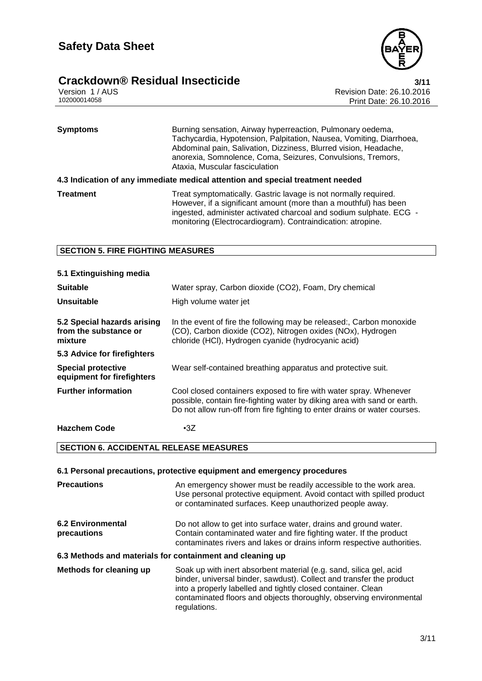

## **Crackdown® Residual Insecticide**<br>Version 1/AUS<br>102000014058 Print Date: 26.10.2016

Revision Date: 26.10.2016 Print Date: 26.10.2016

| <b>Symptoms</b>  | Burning sensation, Airway hyperreaction, Pulmonary oedema,<br>Tachycardia, Hypotension, Palpitation, Nausea, Vomiting, Diarrhoea,<br>Abdominal pain, Salivation, Dizziness, Blurred vision, Headache,<br>anorexia, Somnolence, Coma, Seizures, Convulsions, Tremors,<br>Ataxia, Muscular fasciculation |
|------------------|--------------------------------------------------------------------------------------------------------------------------------------------------------------------------------------------------------------------------------------------------------------------------------------------------------|
|                  | 4.3 Indication of any immediate medical attention and special treatment needed                                                                                                                                                                                                                         |
| <b>Treatment</b> | Treat symptomatically. Gastric lavage is not normally required.<br>However, if a significant amount (more than a mouthful) has been<br>ingested, administer activated charcoal and sodium sulphate. ECG -<br>monitoring (Electrocardiogram). Contraindication: atropine.                               |

#### **SECTION 5. FIRE FIGHTING MEASURES**

| 5.1 Extinguishing media                                         |                                                                                                                                                                                                                            |
|-----------------------------------------------------------------|----------------------------------------------------------------------------------------------------------------------------------------------------------------------------------------------------------------------------|
| <b>Suitable</b>                                                 | Water spray, Carbon dioxide (CO2), Foam, Dry chemical                                                                                                                                                                      |
| Unsuitable                                                      | High volume water jet                                                                                                                                                                                                      |
| 5.2 Special hazards arising<br>from the substance or<br>mixture | In the event of fire the following may be released:, Carbon monoxide<br>(CO), Carbon dioxide (CO2), Nitrogen oxides (NOx), Hydrogen<br>chloride (HCl), Hydrogen cyanide (hydrocyanic acid)                                 |
| 5.3 Advice for firefighters                                     |                                                                                                                                                                                                                            |
| <b>Special protective</b><br>equipment for firefighters         | Wear self-contained breathing apparatus and protective suit.                                                                                                                                                               |
| <b>Further information</b>                                      | Cool closed containers exposed to fire with water spray. Whenever<br>possible, contain fire-fighting water by diking area with sand or earth.<br>Do not allow run-off from fire fighting to enter drains or water courses. |
| <b>Hazchem Code</b>                                             | $\cdot$ 3Z                                                                                                                                                                                                                 |

#### **SECTION 6. ACCIDENTAL RELEASE MEASURES**

|                                  | 6.1 Personal precautions, protective equipment and emergency procedures                                                                                                                                          |
|----------------------------------|------------------------------------------------------------------------------------------------------------------------------------------------------------------------------------------------------------------|
| <b>Precautions</b>               | An emergency shower must be readily accessible to the work area.<br>Use personal protective equipment. Avoid contact with spilled product<br>or contaminated surfaces. Keep unauthorized people away.            |
| 6.2 Environmental<br>precautions | Do not allow to get into surface water, drains and ground water.<br>Contain contaminated water and fire fighting water. If the product<br>contaminates rivers and lakes or drains inform respective authorities. |
|                                  | 6.3 Methods and materials for containment and cleaning up                                                                                                                                                        |
| Methods for cleaning up          | Soak up with inert absorbent material (e.g. sand, silica gel, acid<br>binder, universal binder, sawdust). Collect and transfer the product<br>into a properly labelled and tightly closed container. Clean       |

regulations.

contaminated floors and objects thoroughly, observing environmental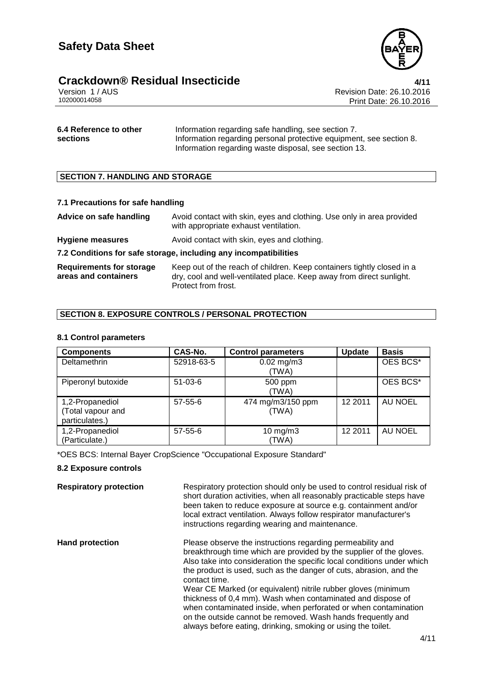

### **Crackdown® Residual Insecticide 4/11**

Version 1 / AUS<br>102000014058<br>Trint Date: 26.10.2016 Print Date: 26.10.2016

| 6.4 Reference to other | Information regarding safe handling, see section 7.                 |
|------------------------|---------------------------------------------------------------------|
| sections               | Information regarding personal protective equipment, see section 8. |
|                        | Information regarding waste disposal, see section 13.               |

#### **SECTION 7. HANDLING AND STORAGE**

#### **7.1 Precautions for safe handling**

**Advice on safe handling** Avoid contact with skin, eyes and clothing. Use only in area provided with appropriate exhaust ventilation.

**Hygiene measures** Avoid contact with skin, eyes and clothing.

#### **7.2 Conditions for safe storage, including any incompatibilities**

**Requirements for storage areas and containers** Keep out of the reach of children. Keep containers tightly closed in a dry, cool and well-ventilated place. Keep away from direct sunlight. Protect from frost.

#### **SECTION 8. EXPOSURE CONTROLS / PERSONAL PROTECTION**

#### **8.1 Control parameters**

| <b>Components</b>                                      | <b>CAS-No.</b> | <b>Control parameters</b>  | <b>Update</b> | <b>Basis</b>   |
|--------------------------------------------------------|----------------|----------------------------|---------------|----------------|
| Deltamethrin                                           | 52918-63-5     | $0.02$ mg/m3<br>(TWA)      |               | OES BCS*       |
| Piperonyl butoxide                                     | $51 - 03 - 6$  | 500 ppm<br>(TWA)           |               | OES BCS*       |
| 1,2-Propanediol<br>(Total vapour and<br>particulates.) | $57 - 55 - 6$  | 474 mg/m3/150 ppm<br>(TWA) | 12 2011       | AU NOEL        |
| 1,2-Propanediol<br>(Particulate.)                      | $57 - 55 - 6$  | $10$ mg/m $3$<br>(TWA)     | 12 2011       | <b>AU NOEL</b> |

\*OES BCS: Internal Bayer CropScience "Occupational Exposure Standard"

#### **8.2 Exposure controls**

**Respiratory protection** Respiratory protection should only be used to control residual risk of short duration activities, when all reasonably practicable steps have been taken to reduce exposure at source e.g. containment and/or local extract ventilation. Always follow respirator manufacturer's instructions regarding wearing and maintenance.

**Hand protection** Please observe the instructions regarding permeability and breakthrough time which are provided by the supplier of the gloves. Also take into consideration the specific local conditions under which the product is used, such as the danger of cuts, abrasion, and the contact time. Wear CE Marked (or equivalent) nitrile rubber gloves (minimum thickness of 0,4 mm). Wash when contaminated and dispose of when contaminated inside, when perforated or when contamination on the outside cannot be removed. Wash hands frequently and always before eating, drinking, smoking or using the toilet.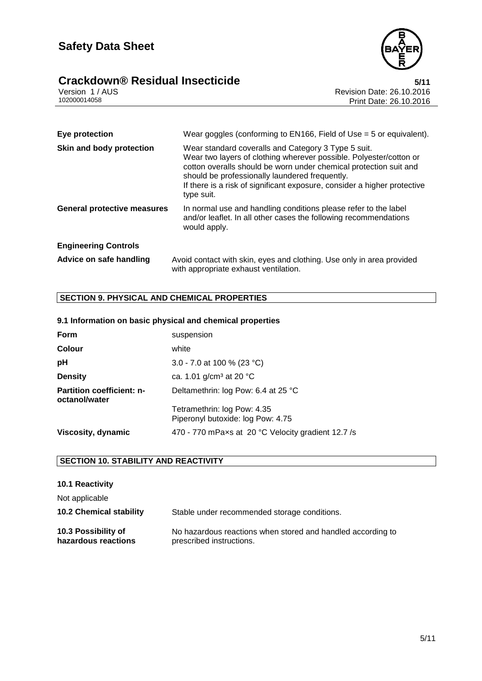## **Crackdown® Residual Insecticide**<br>Version 1/AUS<br>102000014058 Print Date: 26.10.2016



| Eye protection                     | Wear goggles (conforming to EN166, Field of Use = $5$ or equivalent).                                                                                                                                                                                                                                                                      |
|------------------------------------|--------------------------------------------------------------------------------------------------------------------------------------------------------------------------------------------------------------------------------------------------------------------------------------------------------------------------------------------|
| Skin and body protection           | Wear standard coveralls and Category 3 Type 5 suit.<br>Wear two layers of clothing wherever possible. Polyester/cotton or<br>cotton overalls should be worn under chemical protection suit and<br>should be professionally laundered frequently.<br>If there is a risk of significant exposure, consider a higher protective<br>type suit. |
| <b>General protective measures</b> | In normal use and handling conditions please refer to the label<br>and/or leaflet. In all other cases the following recommendations<br>would apply.                                                                                                                                                                                        |
| <b>Engineering Controls</b>        |                                                                                                                                                                                                                                                                                                                                            |
| Advice on safe handling            | Avoid contact with skin, eyes and clothing. Use only in area provided<br>with appropriate exhaust ventilation.                                                                                                                                                                                                                             |

#### **SECTION 9. PHYSICAL AND CHEMICAL PROPERTIES**

#### **9.1 Information on basic physical and chemical properties**

| <b>Form</b>                                       | suspension                                                       |
|---------------------------------------------------|------------------------------------------------------------------|
| <b>Colour</b>                                     | white                                                            |
| pH                                                | 3.0 - 7.0 at 100 % (23 °C)                                       |
| <b>Density</b>                                    | ca. 1.01 g/cm <sup>3</sup> at 20 °C                              |
| <b>Partition coefficient: n-</b><br>octanol/water | Deltamethrin: log Pow: 6.4 at 25 °C                              |
|                                                   | Tetramethrin: log Pow: 4.35<br>Piperonyl butoxide: log Pow: 4.75 |
| Viscosity, dynamic                                | 470 - 770 mPaxs at 20 °C Velocity gradient 12.7 /s               |

#### **SECTION 10. STABILITY AND REACTIVITY**

#### **10.1 Reactivity**

Not applicable

| <b>10.2 Chemical stability</b> | Stable under recommended storage conditions.                |
|--------------------------------|-------------------------------------------------------------|
| 10.3 Possibility of            | No hazardous reactions when stored and handled according to |
| hazardous reactions            | prescribed instructions.                                    |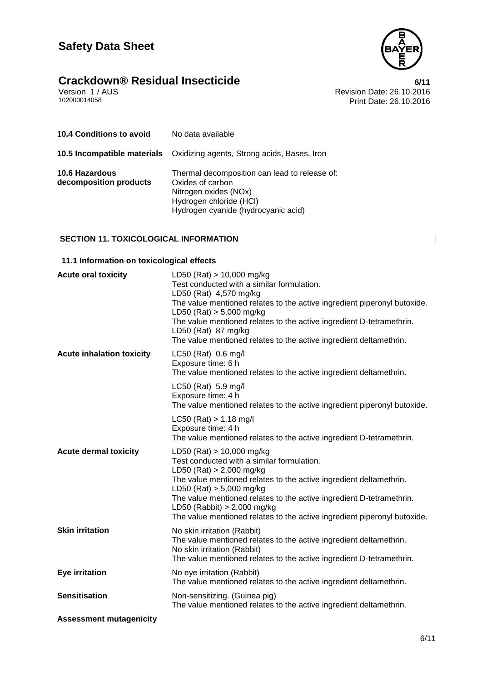### **Safety Data Sheet**



**Crackdown® Residual Insecticide**<br>Version 1/AUS<br>102000014058 Print Date: 26.10.2016 Revision Date: 26.10.2016 Print Date: 26.10.2016

| <b>10.4 Conditions to avoid</b>          | No data available                                                                                                                                            |
|------------------------------------------|--------------------------------------------------------------------------------------------------------------------------------------------------------------|
|                                          | <b>10.5 Incompatible materials</b> Oxidizing agents, Strong acids, Bases, Iron                                                                               |
| 10.6 Hazardous<br>decomposition products | Thermal decomposition can lead to release of:<br>Oxides of carbon<br>Nitrogen oxides (NOx)<br>Hydrogen chloride (HCI)<br>Hydrogen cyanide (hydrocyanic acid) |

#### **SECTION 11. TOXICOLOGICAL INFORMATION**

#### **11.1 Information on toxicological effects**

| <b>Acute oral toxicity</b>       | LD50 (Rat) $> 10,000$ mg/kg<br>Test conducted with a similar formulation.<br>LD50 (Rat) 4,570 mg/kg<br>The value mentioned relates to the active ingredient piperonyl butoxide.<br>LD50 (Rat) $> 5,000$ mg/kg<br>The value mentioned relates to the active ingredient D-tetramethrin.<br>LD50 (Rat) 87 mg/kg<br>The value mentioned relates to the active ingredient deltamethrin.               |
|----------------------------------|--------------------------------------------------------------------------------------------------------------------------------------------------------------------------------------------------------------------------------------------------------------------------------------------------------------------------------------------------------------------------------------------------|
| <b>Acute inhalation toxicity</b> | LC50 (Rat) 0.6 mg/l<br>Exposure time: 6 h<br>The value mentioned relates to the active ingredient deltamethrin.                                                                                                                                                                                                                                                                                  |
|                                  | LC50 (Rat) 5.9 mg/l<br>Exposure time: 4 h<br>The value mentioned relates to the active ingredient piperonyl butoxide.                                                                                                                                                                                                                                                                            |
|                                  | $LC50$ (Rat) > 1.18 mg/l<br>Exposure time: 4 h<br>The value mentioned relates to the active ingredient D-tetramethrin.                                                                                                                                                                                                                                                                           |
| <b>Acute dermal toxicity</b>     | LD50 (Rat) $> 10,000$ mg/kg<br>Test conducted with a similar formulation.<br>LD50 (Rat) $> 2,000$ mg/kg<br>The value mentioned relates to the active ingredient deltamethrin.<br>LD50 (Rat) $> 5,000$ mg/kg<br>The value mentioned relates to the active ingredient D-tetramethrin.<br>LD50 (Rabbit) $> 2,000$ mg/kg<br>The value mentioned relates to the active ingredient piperonyl butoxide. |
| <b>Skin irritation</b>           | No skin irritation (Rabbit)<br>The value mentioned relates to the active ingredient deltamethrin.<br>No skin irritation (Rabbit)<br>The value mentioned relates to the active ingredient D-tetramethrin.                                                                                                                                                                                         |
| Eye irritation                   | No eye irritation (Rabbit)<br>The value mentioned relates to the active ingredient deltamethrin.                                                                                                                                                                                                                                                                                                 |
| <b>Sensitisation</b>             | Non-sensitizing. (Guinea pig)<br>The value mentioned relates to the active ingredient deltamethrin.                                                                                                                                                                                                                                                                                              |
| <b>Assessment mutagenicity</b>   |                                                                                                                                                                                                                                                                                                                                                                                                  |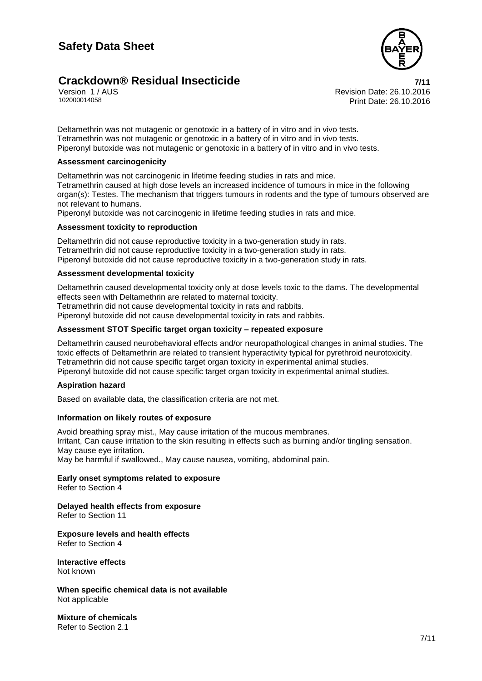

### **Crackdown® Residual Insecticide 7/11**

Version 1 / AUS<br>102000014058<br>Trint Date: 26.10.2016 Print Date: 26.10.2016

Deltamethrin was not mutagenic or genotoxic in a battery of in vitro and in vivo tests. Tetramethrin was not mutagenic or genotoxic in a battery of in vitro and in vivo tests. Piperonyl butoxide was not mutagenic or genotoxic in a battery of in vitro and in vivo tests.

#### **Assessment carcinogenicity**

Deltamethrin was not carcinogenic in lifetime feeding studies in rats and mice. Tetramethrin caused at high dose levels an increased incidence of tumours in mice in the following organ(s): Testes. The mechanism that triggers tumours in rodents and the type of tumours observed are not relevant to humans.

Piperonyl butoxide was not carcinogenic in lifetime feeding studies in rats and mice.

#### **Assessment toxicity to reproduction**

Deltamethrin did not cause reproductive toxicity in a two-generation study in rats. Tetramethrin did not cause reproductive toxicity in a two-generation study in rats. Piperonyl butoxide did not cause reproductive toxicity in a two-generation study in rats.

#### **Assessment developmental toxicity**

Deltamethrin caused developmental toxicity only at dose levels toxic to the dams. The developmental effects seen with Deltamethrin are related to maternal toxicity. Tetramethrin did not cause developmental toxicity in rats and rabbits. Piperonyl butoxide did not cause developmental toxicity in rats and rabbits.

#### **Assessment STOT Specific target organ toxicity – repeated exposure**

Deltamethrin caused neurobehavioral effects and/or neuropathological changes in animal studies. The toxic effects of Deltamethrin are related to transient hyperactivity typical for pyrethroid neurotoxicity. Tetramethrin did not cause specific target organ toxicity in experimental animal studies. Piperonyl butoxide did not cause specific target organ toxicity in experimental animal studies.

#### **Aspiration hazard**

Based on available data, the classification criteria are not met.

#### **Information on likely routes of exposure**

Avoid breathing spray mist., May cause irritation of the mucous membranes. Irritant, Can cause irritation to the skin resulting in effects such as burning and/or tingling sensation. May cause eye irritation. May be harmful if swallowed., May cause nausea, vomiting, abdominal pain.

#### **Early onset symptoms related to exposure** Refer to Section 4

**Delayed health effects from exposure**

Refer to Section 11

**Exposure levels and health effects** Refer to Section 4

**Interactive effects** Not known

**When specific chemical data is not available** Not applicable

**Mixture of chemicals** Refer to Section 2.1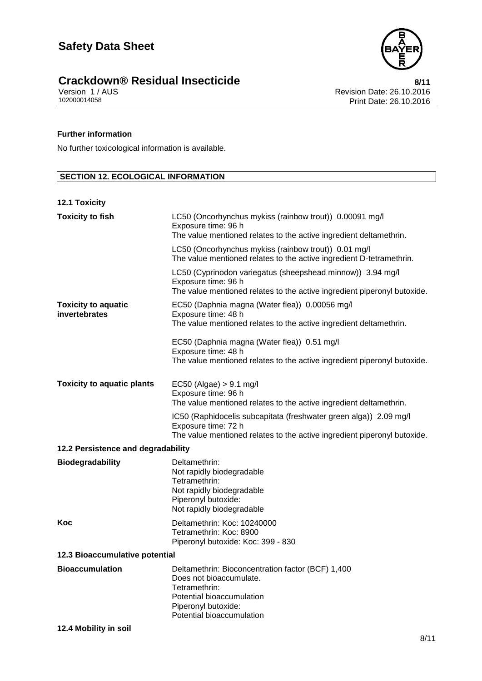

# 8/11<br> **Crackdown®** Residual Insecticide<br>
102000014058<br>
102000014058<br>
Print Date: 26.10.2016

Revision Date: 26.10.2016 Print Date: 26.10.2016

#### **Further information**

No further toxicological information is available.

#### **SECTION 12. ECOLOGICAL INFORMATION**

#### **12.1 Toxicity**

| <b>Toxicity to fish</b>                     | LC50 (Oncorhynchus mykiss (rainbow trout)) 0.00091 mg/l<br>Exposure time: 96 h<br>The value mentioned relates to the active ingredient deltamethrin.<br>LC50 (Oncorhynchus mykiss (rainbow trout)) 0.01 mg/l<br>The value mentioned relates to the active ingredient D-tetramethrin.<br>LC50 (Cyprinodon variegatus (sheepshead minnow)) 3.94 mg/l<br>Exposure time: 96 h<br>The value mentioned relates to the active ingredient piperonyl butoxide. |  |
|---------------------------------------------|-------------------------------------------------------------------------------------------------------------------------------------------------------------------------------------------------------------------------------------------------------------------------------------------------------------------------------------------------------------------------------------------------------------------------------------------------------|--|
| <b>Toxicity to aquatic</b><br>invertebrates | EC50 (Daphnia magna (Water flea)) 0.00056 mg/l<br>Exposure time: 48 h<br>The value mentioned relates to the active ingredient deltamethrin.<br>EC50 (Daphnia magna (Water flea)) 0.51 mg/l<br>Exposure time: 48 h<br>The value mentioned relates to the active ingredient piperonyl butoxide.                                                                                                                                                         |  |
| <b>Toxicity to aquatic plants</b>           | $EC50$ (Algae) > 9.1 mg/l<br>Exposure time: 96 h<br>The value mentioned relates to the active ingredient deltamethrin.<br>IC50 (Raphidocelis subcapitata (freshwater green alga)) 2.09 mg/l<br>Exposure time: 72 h<br>The value mentioned relates to the active ingredient piperonyl butoxide.                                                                                                                                                        |  |
| 12.2 Persistence and degradability          |                                                                                                                                                                                                                                                                                                                                                                                                                                                       |  |
| <b>Biodegradability</b>                     | Deltamethrin:<br>Not rapidly biodegradable<br>Tetramethrin:<br>Not rapidly biodegradable<br>Piperonyl butoxide:<br>Not rapidly biodegradable                                                                                                                                                                                                                                                                                                          |  |
| Koc                                         | Deltamethrin: Koc: 10240000<br>Tetramethrin: Koc: 8900<br>Piperonyl butoxide: Koc: 399 - 830                                                                                                                                                                                                                                                                                                                                                          |  |
| 12.3 Bioaccumulative potential              |                                                                                                                                                                                                                                                                                                                                                                                                                                                       |  |
| <b>Bioaccumulation</b>                      | Deltamethrin: Bioconcentration factor (BCF) 1,400<br>Does not bioaccumulate.<br>Tetramethrin:<br>Potential bioaccumulation<br>Piperonyl butoxide:<br>Potential bioaccumulation                                                                                                                                                                                                                                                                        |  |

#### **12.4 Mobility in soil**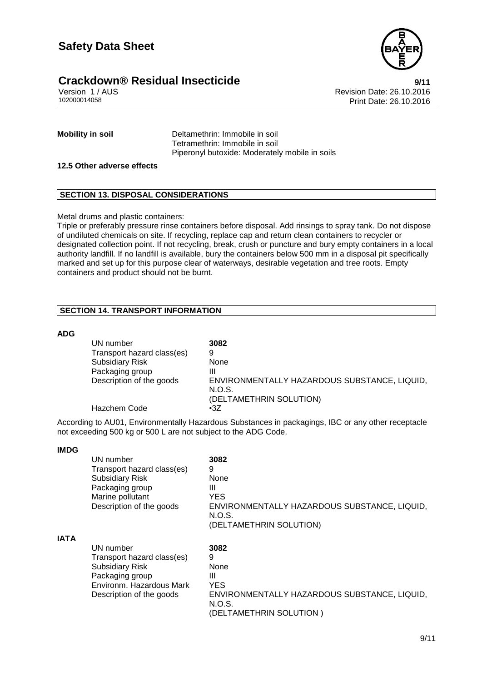





Version 1 / AUS<br>102000014058<br>Print Date: 26.10.2016 Print Date: 26.10.2016

**Mobility in soil** Deltamethrin: Immobile in soil Tetramethrin: Immobile in soil Piperonyl butoxide: Moderately mobile in soils

#### **12.5 Other adverse effects**

#### **SECTION 13. DISPOSAL CONSIDERATIONS**

Metal drums and plastic containers:

Triple or preferably pressure rinse containers before disposal. Add rinsings to spray tank. Do not dispose of undiluted chemicals on site. If recycling, replace cap and return clean containers to recycler or designated collection point. If not recycling, break, crush or puncture and bury empty containers in a local authority landfill. If no landfill is available, bury the containers below 500 mm in a disposal pit specifically marked and set up for this purpose clear of waterways, desirable vegetation and tree roots. Empty containers and product should not be burnt.

#### **SECTION 14. TRANSPORT INFORMATION**

#### **ADG**

**IMDG**

| UN number                  | 3082                                         |
|----------------------------|----------------------------------------------|
| Transport hazard class(es) | 9                                            |
| <b>Subsidiary Risk</b>     | None                                         |
| Packaging group            | Ш                                            |
| Description of the goods   | ENVIRONMENTALLY HAZARDOUS SUBSTANCE, LIQUID, |
|                            | N.O.S.                                       |
|                            | (DELTAMETHRIN SOLUTION)                      |
| Hazchem Code               | $\cdot$ 3Z                                   |

According to AU01, Environmentally Hazardous Substances in packagings, IBC or any other receptacle not exceeding 500 kg or 500 L are not subject to the ADG Code.

|             | UN number<br>Transport hazard class(es)<br><b>Subsidiary Risk</b><br>Packaging group<br>Marine pollutant<br>Description of the goods         | 3082<br>9<br>None<br>Ш<br><b>YES</b><br>ENVIRONMENTALLY HAZARDOUS SUBSTANCE, LIQUID,<br>N.O.S.<br>(DELTAMETHRIN SOLUTION) |
|-------------|----------------------------------------------------------------------------------------------------------------------------------------------|---------------------------------------------------------------------------------------------------------------------------|
| <b>IATA</b> | UN number<br>Transport hazard class(es)<br><b>Subsidiary Risk</b><br>Packaging group<br>Environm, Hazardous Mark<br>Description of the goods | 3082<br>9<br>None<br>Ш<br>YES<br>ENVIRONMENTALLY HAZARDOUS SUBSTANCE, LIQUID,<br>N.O.S.<br>(DELTAMETHRIN SOLUTION)        |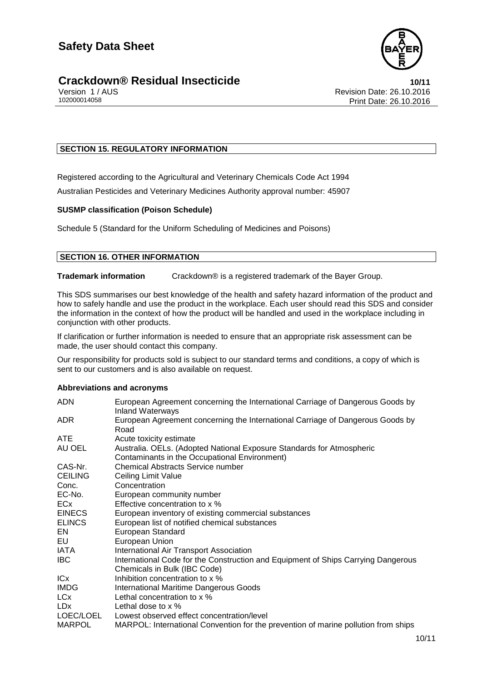

#### **Crackdown®** Residual Insecticide **10/11**

Version 1 / AUS<br>102000014058<br>Print Date: 26.10.2016 Print Date: 26.10.2016

#### **SECTION 15. REGULATORY INFORMATION**

Registered according to the Agricultural and Veterinary Chemicals Code Act 1994

Australian Pesticides and Veterinary Medicines Authority approval number: 45907

#### **SUSMP classification (Poison Schedule)**

Schedule 5 (Standard for the Uniform Scheduling of Medicines and Poisons)

#### **SECTION 16. OTHER INFORMATION**

**Trademark information** Crackdown® is a registered trademark of the Bayer Group.

This SDS summarises our best knowledge of the health and safety hazard information of the product and how to safely handle and use the product in the workplace. Each user should read this SDS and consider the information in the context of how the product will be handled and used in the workplace including in conjunction with other products.

If clarification or further information is needed to ensure that an appropriate risk assessment can be made, the user should contact this company.

Our responsibility for products sold is subject to our standard terms and conditions, a copy of which is sent to our customers and is also available on request.

#### **Abbreviations and acronyms**

| <b>ADN</b>      | European Agreement concerning the International Carriage of Dangerous Goods by<br><b>Inland Waterways</b> |
|-----------------|-----------------------------------------------------------------------------------------------------------|
| ADR.            | European Agreement concerning the International Carriage of Dangerous Goods by<br>Road                    |
| ATE.            | Acute toxicity estimate                                                                                   |
| AU OEL          | Australia. OELs. (Adopted National Exposure Standards for Atmospheric                                     |
|                 | Contaminants in the Occupational Environment)                                                             |
| CAS-Nr.         | <b>Chemical Abstracts Service number</b>                                                                  |
| <b>CEILING</b>  | <b>Ceiling Limit Value</b>                                                                                |
| Conc.           | Concentration                                                                                             |
| EC-No.          | European community number                                                                                 |
| <b>ECx</b>      | Effective concentration to x %                                                                            |
| <b>EINECS</b>   | European inventory of existing commercial substances                                                      |
| <b>ELINCS</b>   | European list of notified chemical substances                                                             |
| EN              | European Standard                                                                                         |
| EU              | European Union                                                                                            |
| IATA            | <b>International Air Transport Association</b>                                                            |
| IBC.            | International Code for the Construction and Equipment of Ships Carrying Dangerous                         |
|                 | Chemicals in Bulk (IBC Code)                                                                              |
| ICx             | Inhibition concentration to x %                                                                           |
| <b>IMDG</b>     | <b>International Maritime Dangerous Goods</b>                                                             |
| LC <sub>x</sub> | Lethal concentration to x %                                                                               |
| LD <sub>x</sub> | Lethal dose to $\times$ %                                                                                 |
| LOEC/LOEL       | Lowest observed effect concentration/level                                                                |
| <b>MARPOL</b>   | MARPOL: International Convention for the prevention of marine pollution from ships                        |